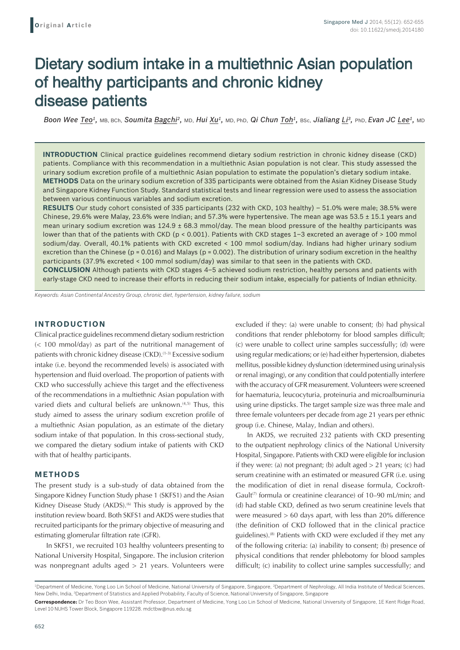# Dietary sodium intake in a multiethnic Asian population of healthy participants and chronic kidney disease patients

*Boon Wee Teo1,* MB, BCh, *Soumita Bagchi2,* MD, *Hui Xu1,* MD, PhD, *Qi Chun Toh1,* BSc, *Jialiang Li3,* PhD, *Evan JC Lee1,* MD

**INTRODUCTION** Clinical practice guidelines recommend dietary sodium restriction in chronic kidney disease (CKD) patients. Compliance with this recommendation in a multiethnic Asian population is not clear. This study assessed the urinary sodium excretion profile of a multiethnic Asian population to estimate the population's dietary sodium intake. **METHODS** Data on the urinary sodium excretion of 335 participants were obtained from the Asian Kidney Disease Study and Singapore Kidney Function Study. Standard statistical tests and linear regression were used to assess the association between various continuous variables and sodium excretion.

**RESULTS** Our study cohort consisted of 335 participants (232 with CKD, 103 healthy) – 51.0% were male; 38.5% were Chinese, 29.6% were Malay, 23.6% were Indian; and 57.3% were hypertensive. The mean age was  $53.5 \pm 15.1$  years and mean urinary sodium excretion was  $124.9 \pm 68.3$  mmol/day. The mean blood pressure of the healthy participants was lower than that of the patients with CKD (p < 0.001). Patients with CKD stages 1-3 excreted an average of > 100 mmol sodium/day. Overall, 40.1% patients with CKD excreted < 100 mmol sodium/day. Indians had higher urinary sodium excretion than the Chinese ( $p = 0.016$ ) and Malays ( $p = 0.002$ ). The distribution of urinary sodium excretion in the healthy participants (37.9% excreted < 100 mmol sodium/day) was similar to that seen in the patients with CKD.

**CONCLUSION** Although patients with CKD stages 4–5 achieved sodium restriction, healthy persons and patients with early-stage CKD need to increase their efforts in reducing their sodium intake, especially for patients of Indian ethnicity.

*Keywords: Asian Continental Ancestry Group, chronic diet, hypertension, kidney failure, sodium*

## **INTRODUCTION**

Clinical practice guidelines recommend dietary sodium restriction (< 100 mmol/day) as part of the nutritional management of patients with chronic kidney disease (CKD).<sup>(1-3)</sup> Excessive sodium intake (i.e. beyond the recommended levels) is associated with hypertension and fluid overload. The proportion of patients with CKD who successfully achieve this target and the effectiveness of the recommendations in a multiethnic Asian population with varied diets and cultural beliefs are unknown.<sup>(4,5)</sup> Thus, this study aimed to assess the urinary sodium excretion profile of a multiethnic Asian population, as an estimate of the dietary sodium intake of that population. In this cross-sectional study, we compared the dietary sodium intake of patients with CKD with that of healthy participants.

## **METHODS**

The present study is a sub-study of data obtained from the Singapore Kidney Function Study phase 1 (SKFS1) and the Asian Kidney Disease Study (AKDS).<sup>(6)</sup> This study is approved by the institution review board. Both SKFS1 and AKDS were studies that recruited participants for the primary objective of measuring and estimating glomerular filtration rate (GFR).

In SKFS1, we recruited 103 healthy volunteers presenting to National University Hospital, Singapore. The inclusion criterion was nonpregnant adults aged > 21 years. Volunteers were excluded if they: (a) were unable to consent; (b) had physical conditions that render phlebotomy for blood samples difficult; (c) were unable to collect urine samples successfully; (d) were using regular medications; or (e) had either hypertension, diabetes mellitus, possible kidney dysfunction (determined using urinalysis or renal imaging), or any condition that could potentially interfere with the accuracy of GFR measurement. Volunteers were screened for haematuria, leucocyturia, proteinuria and microalbuminuria using urine dipsticks. The target sample size was three male and three female volunteers per decade from age 21 years per ethnic group (i.e. Chinese, Malay, Indian and others).

In AKDS, we recruited 232 patients with CKD presenting to the outpatient nephrology clinics of the National University Hospital, Singapore. Patients with CKD were eligible for inclusion if they were: (a) not pregnant; (b) adult aged  $> 21$  years; (c) had serum creatinine with an estimated or measured GFR (i.e. using the modification of diet in renal disease formula, Cockroft-Gault<sup>(7)</sup> formula or creatinine clearance) of 10–90 mL/min; and (d) had stable CKD, defined as two serum creatinine levels that were measured > 60 days apart, with less than 20% difference (the definition of CKD followed that in the clinical practice guidelines).<sup>(8)</sup> Patients with CKD were excluded if they met any of the following criteria: (a) inability to consent; (b) presence of physical conditions that render phlebotomy for blood samples difficult; (c) inability to collect urine samples successfully; and

<sup>&</sup>lt;sup>1</sup>Department of Medicine, Yong Loo Lin School of Medicine, National University of Singapore, Singapore, <sup>2</sup>Department of Nephrology, All India Institute of Medical Sciences, New Delhi, India, <sup>3</sup>Department of Statistics and Applied Probability, Faculty of Science, National University of Singapore, Singapore **Correspondence:** Dr Teo Boon Wee, Assistant Professor, Department of Medicine, Yong Loo Lin School of Medicine, National University of Singapore, 1E Kent Ridge Road,

Level 10 NUHS Tower Block, Singapore 119228. mdctbw@nus.edu.sg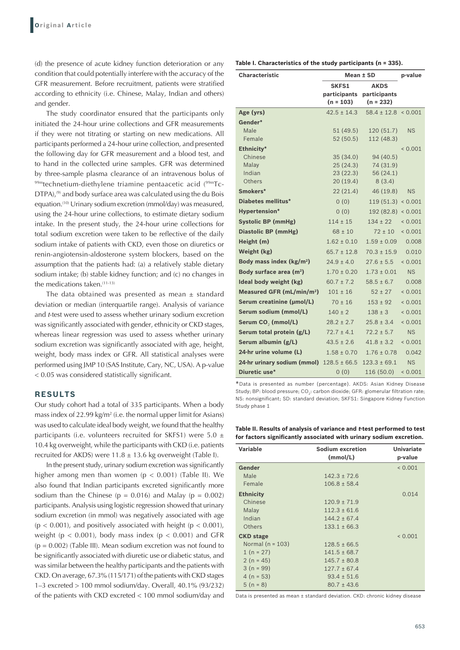(d) the presence of acute kidney function deterioration or any condition that could potentially interfere with the accuracy of the GFR measurement. Before recruitment, patients were stratified according to ethnicity (i.e. Chinese, Malay, Indian and others) and gender.

The study coordinator ensured that the participants only initiated the 24-hour urine collections and GFR measurements if they were not titrating or starting on new medications. All participants performed a 24-hour urine collection, and presented the following day for GFR measurement and a blood test, and to hand in the collected urine samples. GFR was determined by three-sample plasma clearance of an intravenous bolus of 99mtechnetium-diethylene triamine pentaacetic acid (99mTc-DTPA),<sup>(9)</sup> and body surface area was calculated using the du Bois equation.<sup>(10)</sup> Urinary sodium excretion (mmol/day) was measured, using the 24-hour urine collections, to estimate dietary sodium intake. In the present study, the 24-hour urine collections for total sodium excretion were taken to be reflective of the daily sodium intake of patients with CKD, even those on diuretics or renin-angiotensin-aldosterone system blockers, based on the assumption that the patients had: (a) a relatively stable dietary sodium intake; (b) stable kidney function; and (c) no changes in the medications taken. $(11-13)$ 

The data obtained was presented as mean  $\pm$  standard deviation or median (interquartile range). Analysis of variance and *t*-test were used to assess whether urinary sodium excretion was significantly associated with gender, ethnicity or CKD stages, whereas linear regression was used to assess whether urinary sodium excretion was significantly associated with age, height, weight, body mass index or GFR. All statistical analyses were performed using JMP 10 (SAS Institute, Cary, NC, USA). A p-value < 0.05 was considered statistically significant.

## **RESULTS**

Our study cohort had a total of 335 participants. When a body mass index of 22.99 kg/m<sup>2</sup> (i.e. the normal upper limit for Asians) was used to calculate ideal body weight, we found that the healthy participants (i.e. volunteers recruited for SKFS1) were 5.0  $\pm$ 10.4 kg overweight, while the participants with CKD (i.e. patients recruited for AKDS) were  $11.8 \pm 13.6$  kg overweight (Table I).

In the present study, urinary sodium excretion was significantly higher among men than women ( $p < 0.001$ ) (Table II). We also found that Indian participants excreted significantly more sodium than the Chinese ( $p = 0.016$ ) and Malay ( $p = 0.002$ ) participants. Analysis using logistic regression showed that urinary sodium excretion (in mmol) was negatively associated with age  $(p < 0.001)$ , and positively associated with height  $(p < 0.001)$ , weight ( $p < 0.001$ ), body mass index ( $p < 0.001$ ) and GFR  $(p = 0.002)$  (Table III). Mean sodium excretion was not found to be significantly associated with diuretic use or diabetic status, and was similar between the healthy participants and the patients with CKD. On average, 67.3% (115/171) of the patients with CKD stages 1–3 excreted > 100 mmol sodium/day. Overall, 40.1% (93/232) of the patients with CKD excreted < 100 mmol sodium/day and

| Table I. Characteristics of the study participants (n = 335). |  |  |  |
|---------------------------------------------------------------|--|--|--|
|---------------------------------------------------------------|--|--|--|

| <b>Characteristic</b>                 | Mean ± SD                                   | p-value                                    |              |
|---------------------------------------|---------------------------------------------|--------------------------------------------|--------------|
|                                       | <b>SKFS1</b><br>participants<br>$(n = 103)$ | <b>AKDS</b><br>participants<br>$(n = 232)$ |              |
| Age (yrs)                             | $42.5 \pm 14.3$                             | $58.4 \pm 12.8 \times 0.001$               |              |
| Gender*                               |                                             |                                            |              |
| Male                                  | 51(49.5)                                    | 120 (51.7)                                 | <b>NS</b>    |
| Female                                | 52(50.5)                                    | 112 (48.3)                                 |              |
| Ethnicity*                            |                                             |                                            | ${}< 0.001$  |
| Chinese                               | 35(34.0)                                    | 94 (40.5)                                  |              |
| Malay<br>Indian                       | 25(24.3)<br>23(22.3)                        | 74 (31.9)<br>56 (24.1)                     |              |
| Others                                | 20(19.4)                                    | 8(3.4)                                     |              |
| Smokers*                              | 22(21.4)                                    | 46 (19.8)                                  | <b>NS</b>    |
| <b>Diabetes mellitus*</b>             | 0(0)                                        | 119(51.3)                                  | < 0.001      |
| <b>Hypertension*</b>                  | (0)                                         | 192 (82.8)                                 | < 0.001      |
| <b>Systolic BP (mmHg)</b>             | $114 \pm 15$                                | $134 \pm 22$                               | ${}< 0.001$  |
| Diastolic BP (mmHg)                   | $68 \pm 10$                                 | $72 \pm 10$                                | ${}< 0.001$  |
| Height (m)                            | $1.62 \pm 0.10$                             | $1.59 \pm 0.09$                            | 0.008        |
| Weight (kg)                           | $65.7 \pm 12.8$                             | $70.3 \pm 15.9$                            | 0.010        |
| Body mass index (kg/m <sup>2</sup> )  | $24.9 \pm 4.0$                              | $27.6 \pm 5.5$                             | ${}_{0.001}$ |
| Body surface area (m <sup>2</sup> )   | $1.70 \pm 0.20$                             | $1.73 \pm 0.01$                            | <b>NS</b>    |
| Ideal body weight (kg)                | $60.7 \pm 7.2$                              | $58.5 \pm 6.7$                             | 0.008        |
| Measured GFR (mL/min/m <sup>2</sup> ) | $101 \pm 16$                                | $52 \pm 27$                                | ${}< 0.001$  |
| Serum creatinine (µmol/L)             | $70 \pm 16$                                 | $153 \pm 92$                               | < 0.001      |
| Serum sodium (mmol/L)                 | $140 \pm 2$                                 | $138 \pm 3$                                | ${}< 0.001$  |
| Serum CO <sub>2</sub> (mmol/L)        | $28.2 \pm 2.7$                              | $25.8 \pm 3.4$                             | ${}< 0.001$  |
| Serum total protein (g/L)             | $72.7 \pm 4.1$                              | $72.2 \pm 5.7$                             | <b>NS</b>    |
| Serum albumin (g/L)                   | $43.5 \pm 2.6$                              | $41.8 \pm 3.2$                             | ${}< 0.001$  |
| 24-hr urine volume (L)                | $1.58 \pm 0.70$                             | $1.76 \pm 0.78$                            | 0.042        |
| 24-hr urinary sodium (mmol)           | $128.5 \pm 66.5$                            | $123.3 \pm 69.1$                           | <b>NS</b>    |
| Diuretic use*                         | 0(0)                                        | 116 (50.0)                                 | ${}_{0.001}$ |

\*Data is presented as number (percentage). AKDS: Asian Kidney Disease Study; BP: blood pressure; CO<sub>2</sub>: carbon dioxide; GFR: glomerular filtration rate; NS: nonsignificant; SD: standard deviation; SKFS1: Singapore Kidney Function Study phase 1

**Table II. Results of analysis of variance and t‑test performed to test for factors significantly associated with urinary sodium excretion.**

| Variable           | <b>Sodium excretion</b><br>(mmol/L) | <b>Univariate</b><br>p-value |
|--------------------|-------------------------------------|------------------------------|
| Gender             |                                     | 0.001                        |
| Male               | $142.3 \pm 72.6$                    |                              |
| Female             | $106.8 \pm 58.4$                    |                              |
| <b>Ethnicity</b>   |                                     | 0.014                        |
| Chinese            | $120.9 \pm 71.9$                    |                              |
| Malay              | $112.3 \pm 61.6$                    |                              |
| Indian             | $144.2 \pm 67.4$                    |                              |
| Others             | $133.1 \pm 66.3$                    |                              |
| <b>CKD</b> stage   |                                     | < 0.001                      |
| Normal $(n = 103)$ | $128.5 \pm 66.5$                    |                              |
| $1(n = 27)$        | $141.5 \pm 68.7$                    |                              |
| 2 ( $n = 45$ )     | $145.7 \pm 80.8$                    |                              |
| $3(n = 99)$        | $127.7 \pm 67.4$                    |                              |
| $4(n = 53)$        | $93.4 \pm 51.6$                     |                              |
| $5(n = 8)$         | $80.7 \pm 43.6$                     |                              |

Data is presented as mean ± standard deviation. CKD: chronic kidney disease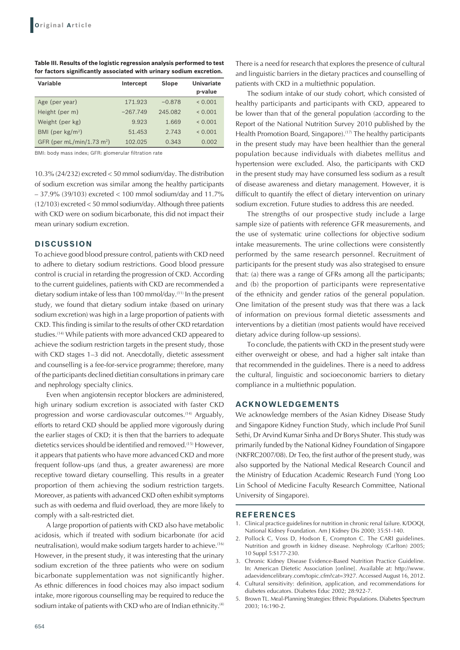| Table III. Results of the logistic regression analysis performed to test |
|--------------------------------------------------------------------------|
| for factors significantly associated with urinary sodium excretion.      |

| Variable                    | Intercept  | Slope    | <b>Univariate</b><br>p-value |
|-----------------------------|------------|----------|------------------------------|
| Age (per year)              | 171.923    | $-0.878$ | 0.001                        |
| Height (per m)              | $-267.749$ | 245.082  | < 0.001                      |
| Weight (per kg)             | 9.923      | 1.669    | 0.001                        |
| BMI (per $kg/m2$ )          | 51.453     | 2.743    | 0.001                        |
| GFR (per $mL/min/1.73 m2$ ) | 102.025    | 0.343    | 0.002                        |

BMI: body mass index; GFR: glomerular filtration rate

10.3% (24/232) excreted < 50 mmol sodium/day. The distribution of sodium excretion was similar among the healthy participants – 37.9% (39/103) excreted < 100 mmol sodium/day and 11.7% (12/103) excreted < 50 mmol sodium/day. Although three patients with CKD were on sodium bicarbonate, this did not impact their mean urinary sodium excretion.

### **DISCUSSION**

To achieve good blood pressure control, patients with CKD need to adhere to dietary sodium restrictions. Good blood pressure control is crucial in retarding the progression of CKD. According to the current guidelines, patients with CKD are recommended a dietary sodium intake of less than 100 mmol/day.(11) In the present study, we found that dietary sodium intake (based on urinary sodium excretion) was high in a large proportion of patients with CKD. This finding is similar to the results of other CKD retardation studies.<sup>(14)</sup> While patients with more advanced CKD appeared to achieve the sodium restriction targets in the present study, those with CKD stages 1–3 did not. Anecdotally, dietetic assessment and counselling is a fee-for-service programme; therefore, many of the participants declined dietitian consultations in primary care and nephrology specialty clinics.

Even when angiotensin receptor blockers are administered, high urinary sodium excretion is associated with faster CKD progression and worse cardiovascular outcomes.<sup>(14)</sup> Arguably, efforts to retard CKD should be applied more vigorously during the earlier stages of CKD; it is then that the barriers to adequate dietetics services should be identified and removed.<sup>(15)</sup> However, it appears that patients who have more advanced CKD and more frequent follow-ups (and thus, a greater awareness) are more receptive toward dietary counselling. This results in a greater proportion of them achieving the sodium restriction targets. Moreover, as patients with advanced CKD often exhibit symptoms such as with oedema and fluid overload, they are more likely to comply with a salt-restricted diet.

A large proportion of patients with CKD also have metabolic acidosis, which if treated with sodium bicarbonate (for acid neutralisation), would make sodium targets harder to achieve.<sup>(16)</sup> However, in the present study, it was interesting that the urinary sodium excretion of the three patients who were on sodium bicarbonate supplementation was not significantly higher. As ethnic differences in food choices may also impact sodium intake, more rigorous counselling may be required to reduce the sodium intake of patients with CKD who are of Indian ethnicity.<sup>(4)</sup> There is a need for research that explores the presence of cultural and linguistic barriers in the dietary practices and counselling of patients with CKD in a multiethnic population.

The sodium intake of our study cohort, which consisted of healthy participants and participants with CKD, appeared to be lower than that of the general population (according to the Report of the National Nutrition Survey 2010 published by the Health Promotion Board, Singapore).<sup>(17)</sup> The healthy participants in the present study may have been healthier than the general population because individuals with diabetes mellitus and hypertension were excluded. Also, the participants with CKD in the present study may have consumed less sodium as a result of disease awareness and dietary management. However, it is difficult to quantify the effect of dietary intervention on urinary sodium excretion. Future studies to address this are needed.

The strengths of our prospective study include a large sample size of patients with reference GFR measurements, and the use of systematic urine collections for objective sodium intake measurements. The urine collections were consistently performed by the same research personnel. Recruitment of participants for the present study was also strategised to ensure that: (a) there was a range of GFRs among all the participants; and (b) the proportion of participants were representative of the ethnicity and gender ratios of the general population. One limitation of the present study was that there was a lack of information on previous formal dietetic assessments and interventions by a dietitian (most patients would have received dietary advice during follow-up sessions).

To conclude, the patients with CKD in the present study were either overweight or obese, and had a higher salt intake than that recommended in the guidelines. There is a need to address the cultural, linguistic and socioeconomic barriers to dietary compliance in a multiethnic population.

#### **ACKNOWLEDGEMENTS**

We acknowledge members of the Asian Kidney Disease Study and Singapore Kidney Function Study, which include Prof Sunil Sethi, Dr Arvind Kumar Sinha and Dr Borys Shuter. This study was primarily funded by the National Kidney Foundation of Singapore (NKFRC2007/08). Dr Teo, the first author of the present study, was also supported by the National Medical Research Council and the Ministry of Education Academic Research Fund (Yong Loo Lin School of Medicine Faculty Research Committee, National University of Singapore).

#### **REFERENCES**

- 1. Clinical practice guidelines for nutrition in chronic renal failure. K/DOQI, National Kidney Foundation. Am J Kidney Dis 2000; 35:S1-140.
- 2. Pollock C, Voss D, Hodson E, Crompton C. The CARI guidelines. Nutrition and growth in kidney disease. Nephrology (Carlton) 2005; 10 Suppl 5:S177-230.
- 3. Chronic Kidney Disease Evidence-Based Nutrition Practice Guideline. In: American Dietetic Association [online]. Available at: http://www. adaevidencelibrary.com/topic.cfm?cat=3927. Accessed August 16, 2012.
- 4. Cultural sensitivity: definition, application, and recommendations for diabetes educators. Diabetes Educ 2002; 28:922-7.
- 5. Brown TL. Meal-Planning Strategies: Ethnic Populations. Diabetes Spectrum 2003; 16:190-2.